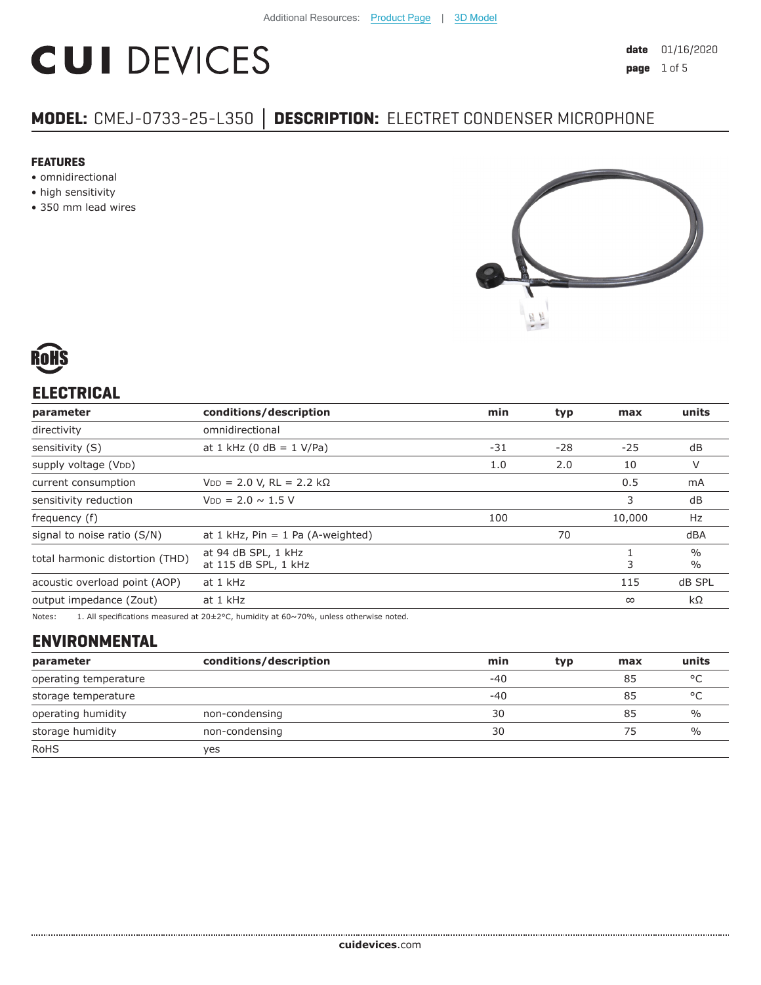# **CUI DEVICES**

# **MODEL:** CMEJ-0733-25-L350 **│ DESCRIPTION:** ELECTRET CONDENSER MICROPHONE

#### **FEATURES**

- omnidirectional
- high sensitivity
- 350 mm lead wires





# **ELECTRICAL**

| parameter                       | conditions/description                      | min   | typ | max      | units                          |
|---------------------------------|---------------------------------------------|-------|-----|----------|--------------------------------|
| directivity                     | omnidirectional                             |       |     |          |                                |
| sensitivity (S)                 | at 1 kHz (0 dB = $1$ V/Pa)                  | $-31$ | -28 | $-25$    | dB                             |
| supply voltage (VDD)            |                                             | 1.0   | 2.0 | 10       | V                              |
| current consumption             | $VDD = 2.0 V, RL = 2.2 k\Omega$             |       |     | 0.5      | mA                             |
| sensitivity reduction           | $V_{DD} = 2.0 \sim 1.5 V$                   |       |     | 3        | dB                             |
| frequency (f)                   |                                             | 100   |     | 10,000   | Hz                             |
| signal to noise ratio (S/N)     | at 1 kHz, $Pin = 1$ Pa (A-weighted)         |       | 70  |          | dBA                            |
| total harmonic distortion (THD) | at 94 dB SPL, 1 kHz<br>at 115 dB SPL, 1 kHz |       |     | 3        | $\frac{0}{0}$<br>$\frac{0}{0}$ |
| acoustic overload point (AOP)   | at 1 kHz                                    |       |     | 115      | dB SPL                         |
| output impedance (Zout)         | at 1 kHz                                    |       |     | $\infty$ | $k\Omega$                      |
|                                 |                                             |       |     |          |                                |

Notes: 1. All specifications measured at 20±2°C, humidity at 60~70%, unless otherwise noted.

## **ENVIRONMENTAL**

| parameter             | conditions/description | min   | typ | max | units         |
|-----------------------|------------------------|-------|-----|-----|---------------|
| operating temperature |                        | $-40$ |     | 85  | °C            |
| storage temperature   |                        | $-40$ |     | 85  | °C            |
| operating humidity    | non-condensing         | 30    |     | 85  | $\%$          |
| storage humidity      | non-condensing         | 30    |     | 75  | $\frac{0}{0}$ |
| <b>RoHS</b>           | yes                    |       |     |     |               |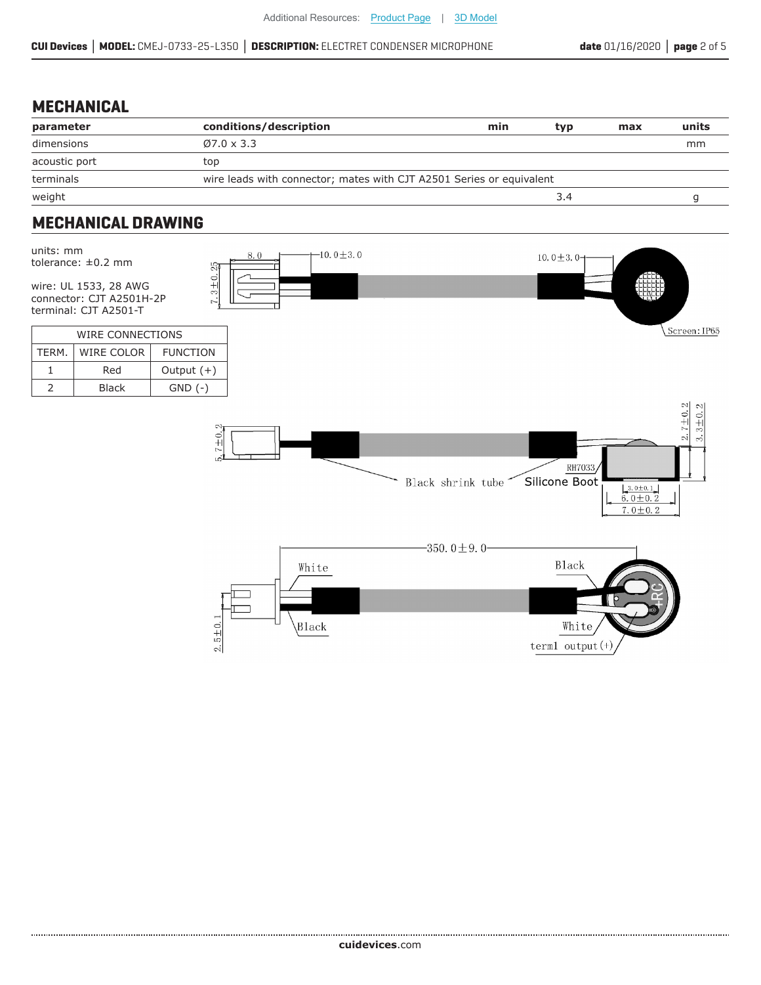#### **MECHANICAL**

| parameter     | conditions/description                                               | min | typ | max | units |
|---------------|----------------------------------------------------------------------|-----|-----|-----|-------|
| dimensions    | $Ø7.0 \times 3.3$                                                    |     |     |     | mm    |
| acoustic port | top                                                                  |     |     |     |       |
| terminals     | wire leads with connector; mates with CJT A2501 Series or equivalent |     |     |     |       |
| weight        |                                                                      |     | 3.4 |     |       |

# **MECHANICAL DRAWING**

| units: mm      | tolerance: $\pm 0.2$ mm<br>wire: UL 1533, 28 AWG<br>connector: CJT A2501H-2P<br>terminal: CJT A2501-T | ୍ଷ<br>$7.3 + 0.$ | 8.0 | $-10.0 \pm 3.0$ | 10.0 $\pm$ 3.0-                                                                                                                      |
|----------------|-------------------------------------------------------------------------------------------------------|------------------|-----|-----------------|--------------------------------------------------------------------------------------------------------------------------------------|
|                | WIRE CONNECTIONS                                                                                      |                  |     |                 | Screen: IP65                                                                                                                         |
| TERM.          | WIRE COLOR                                                                                            | <b>FUNCTION</b>  |     |                 |                                                                                                                                      |
| $\mathbf{1}$   | Red                                                                                                   | Output $(+)$     |     |                 |                                                                                                                                      |
| $\overline{2}$ | Black                                                                                                 | $GND$ $(-)$      |     |                 |                                                                                                                                      |
|                |                                                                                                       | $7 + 0.2$<br>i.  |     |                 | $2.7 \pm 0.2$<br>$3.3 \pm 0.2$<br>RH7033<br>Silicone Boot<br>Black shrink tube<br>$\frac{3.0 \pm 0.1}{6.0 \pm 0.2}$<br>$7.0 \pm 0.2$ |
|                |                                                                                                       | $2.5 \pm 0.1$    |     | White<br>Black  | $-350.0 \pm 9.0$<br><b>Black</b><br>White<br>term1 output $(+)$                                                                      |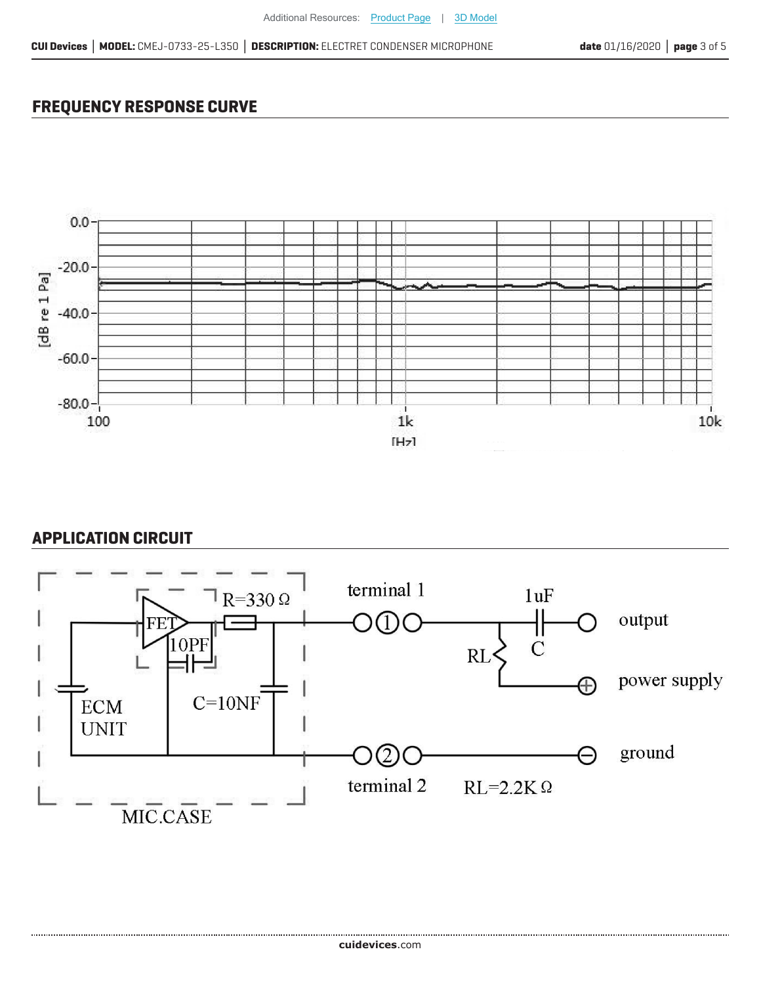### **FREQUENCY RESPONSE CURVE**



#### **APPLICATION CIRCUIT**

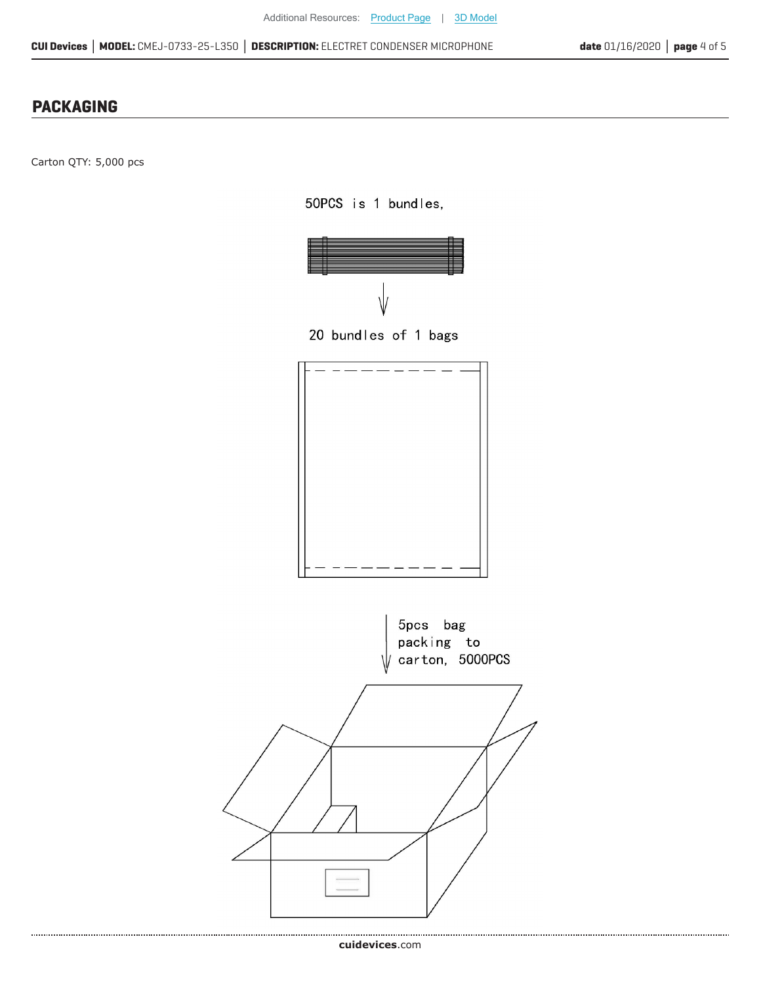#### **PACKAGING**

Carton QTY: 5,000 pcs